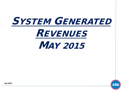



**July 2015**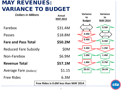# MAY REVENUES: VARIANCE TO BUDGET

| <b>Dollars in Millions</b>    | <b>Actual</b><br><b>MAY 2015</b>            | <b>Variance</b><br><b>Variance</b><br>to<br>to<br><b>Budget</b><br><b>MAY 2014</b> |  |  |
|-------------------------------|---------------------------------------------|------------------------------------------------------------------------------------|--|--|
| Farebox                       | \$31.4M                                     | 0.5M                                                                               |  |  |
| Passes                        | \$18.8M                                     | 0.4M                                                                               |  |  |
| <b>Fare and Pass Total</b>    | \$50.2M                                     | 0.4M<br>0.5M                                                                       |  |  |
| <b>Reduced Fare Subsidy</b>   | <b>\$0M</b>                                 | 2.4M<br>1.2M                                                                       |  |  |
| Non-Farebox                   | \$6.9M                                      | 1.0M<br>1.4M                                                                       |  |  |
| <b>Revenue Total</b>          | \$57.1M                                     | 0.7M<br>1.8M                                                                       |  |  |
| <b>Average Fare (Dollars)</b> | \$1.15                                      | \$0.01<br>\$0.04                                                                   |  |  |
| <b>Free Rides</b>             | 6.3M                                        |                                                                                    |  |  |
|                               | Free Rides is 0.6M less than MAY 2014<br>Ct |                                                                                    |  |  |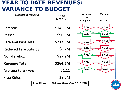### YEAR TO DATE REVENUES: VARIANCE TO BUDGET

| <b>Dollars in Millions</b>    |                                                 | <b>Actual</b><br><b>MAY YTD</b> | <b>Variance</b><br>to<br><b>Budget YTD</b> | Variance<br>to<br><b>2014 YTD</b> |  |
|-------------------------------|-------------------------------------------------|---------------------------------|--------------------------------------------|-----------------------------------|--|
| Farebox                       |                                                 | \$142.3M                        | 3.6M                                       | 4.5M                              |  |
| Passes                        |                                                 | \$90.3M                         | 0.8M                                       | 1.2M                              |  |
| <b>Fare and Pass Total</b>    |                                                 | \$232.6M                        | 2.8M                                       | 3.3M                              |  |
| <b>Reduced Fare Subsidy</b>   |                                                 | \$4.7M                          | 7.1M                                       | 1.4M                              |  |
| Non-Farebox                   |                                                 | \$27.2M                         | 3.0M                                       | 0.9M                              |  |
| <b>Revenue Total</b>          |                                                 | \$264.5M                        | 6.9M                                       | 5.6M                              |  |
| <b>Average Fare (Dollars)</b> |                                                 | \$1.11                          | \$0.01                                     | \$0.01                            |  |
| <b>Free Rides</b>             |                                                 | 28.6M                           |                                            |                                   |  |
|                               | Free Rides is 1.8M less than MAY 2014 YTD<br>ct |                                 |                                            |                                   |  |
|                               |                                                 |                                 |                                            |                                   |  |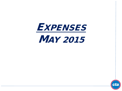

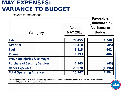# MAY EXPENSES: VARIANCE TO BUDGET

*Dollars in Thousands*

| Category                                | <b>Actual</b><br><b>MAY 2015</b> | Favorable/<br>(Unfavorable)<br><b>Variance to</b><br><b>Budget</b> |  |
|-----------------------------------------|----------------------------------|--------------------------------------------------------------------|--|
| Labor                                   | 78,455                           | 1,940                                                              |  |
| <b>Material</b>                         | 6,418                            | (505)                                                              |  |
| <b>Fuel</b>                             | 3,915                            | 602                                                                |  |
| <b>Power</b>                            | 1,793                            | 486                                                                |  |
| <b>Provision Injuries &amp; Damages</b> |                                  |                                                                    |  |
| <b>Purchase of Security Services</b>    | 1,245                            | (43)                                                               |  |
| <b>Other Expenses</b>                   | 23,920                           | (1, 196)                                                           |  |
| <b>Total Operating Expenses</b>         | 115,747                          | 1,284                                                              |  |

**Other expenses consist of: Utilities, Advertising & Promotions, Travel & Meetings, Contractual Services, Leases & Rentals, Pension Obligation Bond, and General Expenses.**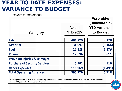### YEAR TO DATE EXPENSES: VARIANCE TO BUDGET

*Dollars in Thousands*

| Category                                | <b>Actual</b><br><b>YTD 2015</b> | <b>Favorable/</b><br>(Unfavorable)<br><b>YTD Variance</b><br>to Budget |
|-----------------------------------------|----------------------------------|------------------------------------------------------------------------|
| Labor                                   | 404,729                          | 8,378                                                                  |
| <b>Material</b>                         | 34,097                           | (3,366)                                                                |
| <b>Fuel</b>                             | 21,383                           | 1,476                                                                  |
| <b>Power</b>                            | 12,696                           | 611                                                                    |
| <b>Provision Injuries &amp; Damages</b> |                                  |                                                                        |
| <b>Purchase of Security Services</b>    | 5,901                            | 110                                                                    |
| <b>Other Expenses</b>                   | 116,969                          | (1, 491)                                                               |
| <b>Total Operating Expenses</b>         | 595,776                          | 5,718                                                                  |

**Other expenses consist of: Utilities, Advertising & Promotions, Travel & Meetings, Contractual Services, Leases & Rentals, Pension Obligation Bond, and General Expenses.**